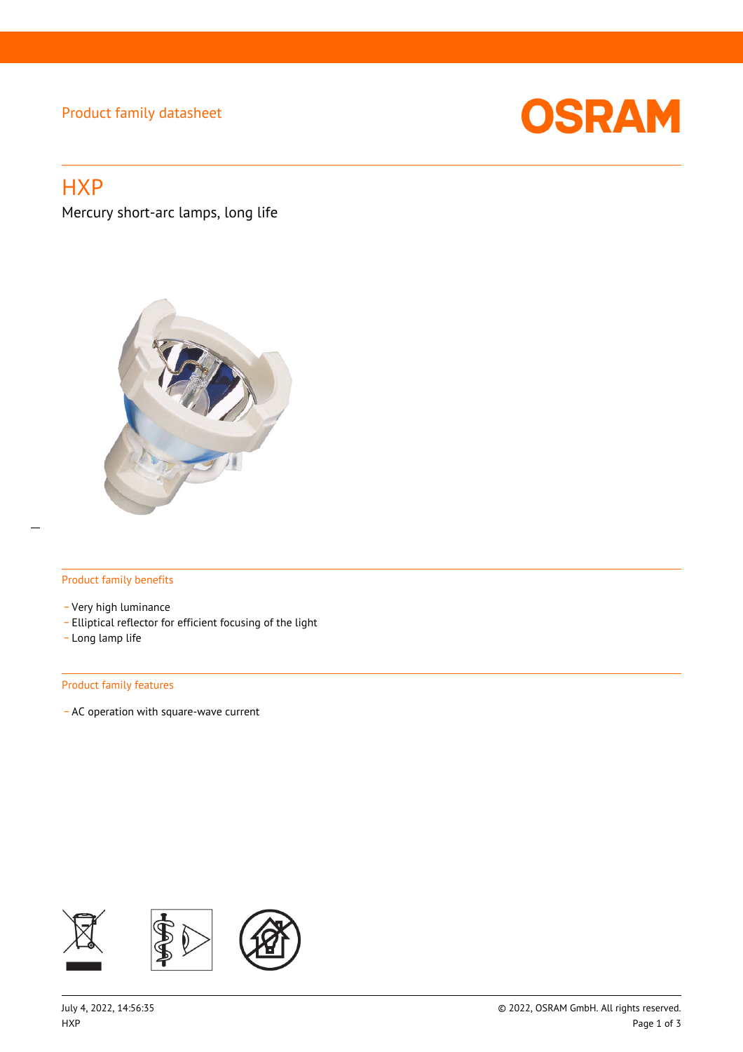## Product family datasheet



# **HXP**

Mercury short-arc lamps, long life



### Product family benefits

- \_ Very high luminance
- \_ Elliptical reflector for efficient focusing of the light
- \_ Long lamp life

#### Product family features

\_ AC operation with square-wave current

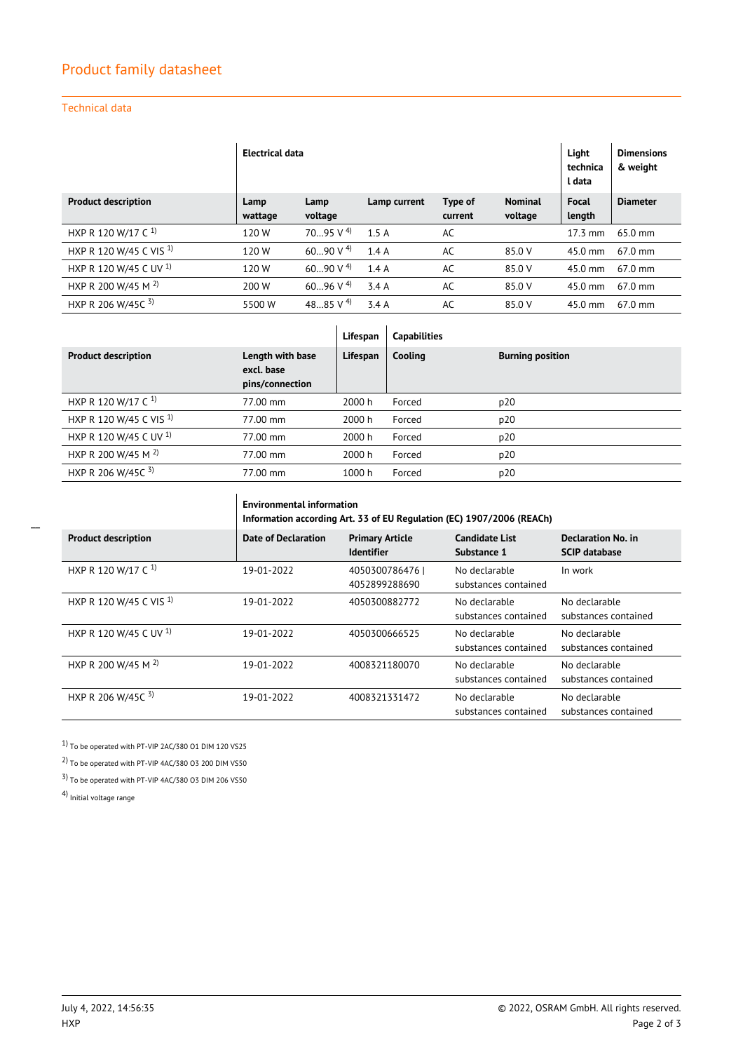## Product family datasheet

## Technical data

|                                   | <b>Electrical data</b> |                        |              |         |                |                   | <b>Dimensions</b><br>& weight |
|-----------------------------------|------------------------|------------------------|--------------|---------|----------------|-------------------|-------------------------------|
| <b>Product description</b>        | Lamp                   | Lamp                   | Lamp current | Type of | <b>Nominal</b> | Focal             | <b>Diameter</b>               |
|                                   | wattage                | voltage                |              | current | voltage        | length            |                               |
| HXP R 120 W/17 C <sup>1)</sup>    | 120W                   | $7095$ V <sup>4)</sup> | 1.5A         | AC      |                | $17.3 \text{ mm}$ | $65.0$ mm                     |
| HXP R 120 W/45 C VIS <sup>1</sup> | 120W                   | $6090V$ <sup>4)</sup>  | 1.4A         | AC      | 85.0 V         | $45.0$ mm         | $67.0 \text{ mm}$             |
| HXP R 120 W/45 C UV <sup>1)</sup> | 120W                   | $6090V$ <sup>4)</sup>  | 1.4A         | AC      | 85.0 V         | $45.0$ mm         | $67.0 \text{ mm}$             |
| HXP R 200 W/45 M <sup>2)</sup>    | 200 W                  | $6096$ V <sup>4)</sup> | 3.4A         | AC      | 85.0 V         | $45.0$ mm         | $67.0$ mm                     |
| HXP R 206 W/45C 3)                | 5500 W                 | 4885 V <sup>4)</sup>   | 3.4A         | AC      | 85.0 V         | 45.0 mm           | 67.0 mm                       |

|                                    |                                                   | Lifespan | <b>Capabilities</b> |                         |
|------------------------------------|---------------------------------------------------|----------|---------------------|-------------------------|
| <b>Product description</b>         | Length with base<br>excl. base<br>pins/connection | Lifespan | Cooling             | <b>Burning position</b> |
| HXP R 120 W/17 C <sup>1)</sup>     | 77.00 mm                                          | 2000 h   | Forced              | p20                     |
| HXP R 120 W/45 C VIS <sup>1)</sup> | 77.00 mm                                          | 2000 h   | Forced              | p20                     |
| HXP R 120 W/45 C UV <sup>1)</sup>  | 77.00 mm                                          | 2000 h   | Forced              | p20                     |
| HXP R 200 W/45 M <sup>2)</sup>     | 77.00 mm                                          | 2000 h   | Forced              | p20                     |
| HXP R 206 W/45C 3)                 | 77.00 mm                                          | 1000 h   | Forced              | p20                     |

**Environmental information**

|                                    | Information according Art. 33 of EU Regulation (EC) 1907/2006 (REACh) |                                             |                                       |                                                   |  |  |
|------------------------------------|-----------------------------------------------------------------------|---------------------------------------------|---------------------------------------|---------------------------------------------------|--|--|
| <b>Product description</b>         | <b>Date of Declaration</b>                                            | <b>Primary Article</b><br><b>Identifier</b> | <b>Candidate List</b><br>Substance 1  | <b>Declaration No. in</b><br><b>SCIP database</b> |  |  |
| HXP R 120 W/17 C <sup>1)</sup>     | 19-01-2022                                                            | 40503007864761<br>4052899288690             | No declarable<br>substances contained | In work                                           |  |  |
| HXP R 120 W/45 C VIS <sup>1)</sup> | 19-01-2022                                                            | 4050300882772                               | No declarable<br>substances contained | No declarable<br>substances contained             |  |  |
| HXP R 120 W/45 C UV <sup>1)</sup>  | 19-01-2022                                                            | 4050300666525                               | No declarable<br>substances contained | No declarable<br>substances contained             |  |  |
| HXP R 200 W/45 M <sup>2)</sup>     | 19-01-2022                                                            | 4008321180070                               | No declarable<br>substances contained | No declarable<br>substances contained             |  |  |
| HXP R 206 W/45C $3$ )              | 19-01-2022                                                            | 4008321331472                               | No declarable<br>substances contained | No declarable<br>substances contained             |  |  |

1) To be operated with PT-VIP 2AC/380 O1 DIM 120 VS25

2) To be operated with PT-VIP 4AC/380 O3 200 DIM VS50

3) To be operated with PT-VIP 4AC/380 O3 DIM 206 VS50

4) Initial voltage range